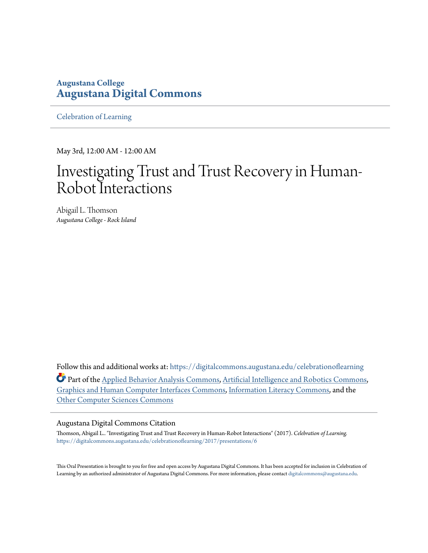## **Augustana College [Augustana Digital Commons](https://digitalcommons.augustana.edu?utm_source=digitalcommons.augustana.edu%2Fcelebrationoflearning%2F2017%2Fpresentations%2F6&utm_medium=PDF&utm_campaign=PDFCoverPages)**

[Celebration of Learning](https://digitalcommons.augustana.edu/celebrationoflearning?utm_source=digitalcommons.augustana.edu%2Fcelebrationoflearning%2F2017%2Fpresentations%2F6&utm_medium=PDF&utm_campaign=PDFCoverPages)

May 3rd, 12:00 AM - 12:00 AM

# Investigating Trust and Trust Recovery in Human-Robot Interactions

Abigail L. Thomson *Augustana College - Rock Island*

Follow this and additional works at: [https://digitalcommons.augustana.edu/celebrationoflearning](https://digitalcommons.augustana.edu/celebrationoflearning?utm_source=digitalcommons.augustana.edu%2Fcelebrationoflearning%2F2017%2Fpresentations%2F6&utm_medium=PDF&utm_campaign=PDFCoverPages) **Part of the [Applied Behavior Analysis Commons](http://network.bepress.com/hgg/discipline/1235?utm_source=digitalcommons.augustana.edu%2Fcelebrationoflearning%2F2017%2Fpresentations%2F6&utm_medium=PDF&utm_campaign=PDFCoverPages), [Artificial Intelligence and Robotics Commons,](http://network.bepress.com/hgg/discipline/143?utm_source=digitalcommons.augustana.edu%2Fcelebrationoflearning%2F2017%2Fpresentations%2F6&utm_medium=PDF&utm_campaign=PDFCoverPages)** [Graphics and Human Computer Interfaces Commons,](http://network.bepress.com/hgg/discipline/146?utm_source=digitalcommons.augustana.edu%2Fcelebrationoflearning%2F2017%2Fpresentations%2F6&utm_medium=PDF&utm_campaign=PDFCoverPages) [Information Literacy Commons](http://network.bepress.com/hgg/discipline/1243?utm_source=digitalcommons.augustana.edu%2Fcelebrationoflearning%2F2017%2Fpresentations%2F6&utm_medium=PDF&utm_campaign=PDFCoverPages), and the [Other Computer Sciences Commons](http://network.bepress.com/hgg/discipline/152?utm_source=digitalcommons.augustana.edu%2Fcelebrationoflearning%2F2017%2Fpresentations%2F6&utm_medium=PDF&utm_campaign=PDFCoverPages)

#### Augustana Digital Commons Citation

Thomson, Abigail L.. "Investigating Trust and Trust Recovery in Human-Robot Interactions" (2017). *Celebration of Learning.* [https://digitalcommons.augustana.edu/celebrationoflearning/2017/presentations/6](https://digitalcommons.augustana.edu/celebrationoflearning/2017/presentations/6?utm_source=digitalcommons.augustana.edu%2Fcelebrationoflearning%2F2017%2Fpresentations%2F6&utm_medium=PDF&utm_campaign=PDFCoverPages)

This Oral Presentation is brought to you for free and open access by Augustana Digital Commons. It has been accepted for inclusion in Celebration of Learning by an authorized administrator of Augustana Digital Commons. For more information, please contact [digitalcommons@augustana.edu.](mailto:digitalcommons@augustana.edu)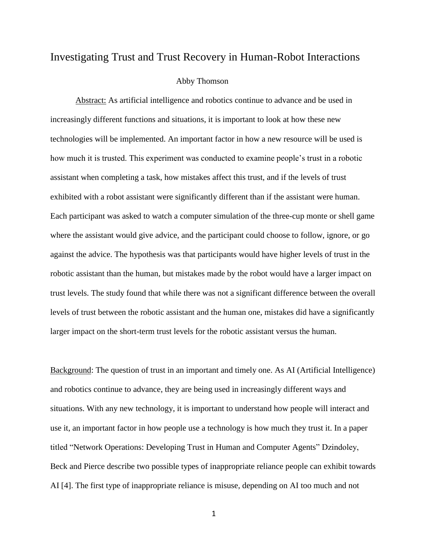### Investigating Trust and Trust Recovery in Human-Robot Interactions

#### Abby Thomson

Abstract: As artificial intelligence and robotics continue to advance and be used in increasingly different functions and situations, it is important to look at how these new technologies will be implemented. An important factor in how a new resource will be used is how much it is trusted. This experiment was conducted to examine people's trust in a robotic assistant when completing a task, how mistakes affect this trust, and if the levels of trust exhibited with a robot assistant were significantly different than if the assistant were human. Each participant was asked to watch a computer simulation of the three-cup monte or shell game where the assistant would give advice, and the participant could choose to follow, ignore, or go against the advice. The hypothesis was that participants would have higher levels of trust in the robotic assistant than the human, but mistakes made by the robot would have a larger impact on trust levels. The study found that while there was not a significant difference between the overall levels of trust between the robotic assistant and the human one, mistakes did have a significantly larger impact on the short-term trust levels for the robotic assistant versus the human.

Background: The question of trust in an important and timely one. As AI (Artificial Intelligence) and robotics continue to advance, they are being used in increasingly different ways and situations. With any new technology, it is important to understand how people will interact and use it, an important factor in how people use a technology is how much they trust it. In a paper titled "Network Operations: Developing Trust in Human and Computer Agents" Dzindoley, Beck and Pierce describe two possible types of inappropriate reliance people can exhibit towards AI [4]. The first type of inappropriate reliance is misuse, depending on AI too much and not

1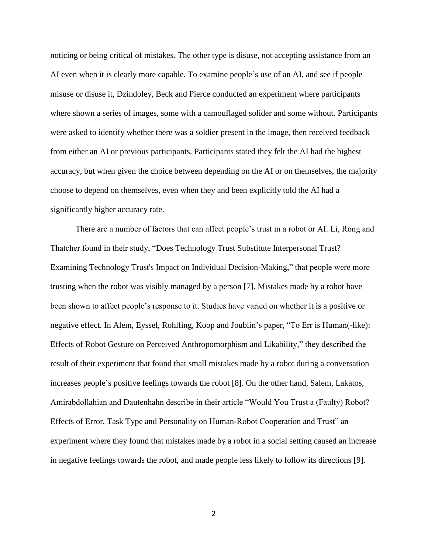noticing or being critical of mistakes. The other type is disuse, not accepting assistance from an AI even when it is clearly more capable. To examine people's use of an AI, and see if people misuse or disuse it, Dzindoley, Beck and Pierce conducted an experiment where participants where shown a series of images, some with a camouflaged solider and some without. Participants were asked to identify whether there was a soldier present in the image, then received feedback from either an AI or previous participants. Participants stated they felt the AI had the highest accuracy, but when given the choice between depending on the AI or on themselves, the majority choose to depend on themselves, even when they and been explicitly told the AI had a significantly higher accuracy rate.

There are a number of factors that can affect people's trust in a robot or AI. Li, Rong and Thatcher found in their study, "Does Technology Trust Substitute Interpersonal Trust? Examining Technology Trust's Impact on Individual Decision-Making," that people were more trusting when the robot was visibly managed by a person [7]. Mistakes made by a robot have been shown to affect people's response to it. Studies have varied on whether it is a positive or negative effect. In Alem, Eyssel, Rohlfing, Koop and Joublin's paper, "To Err is Human(-like): Effects of Robot Gesture on Perceived Anthropomorphism and Likability," they described the result of their experiment that found that small mistakes made by a robot during a conversation increases people's positive feelings towards the robot [8]. On the other hand, Salem, Lakatos, Amirabdollahian and Dautenhahn describe in their article "Would You Trust a (Faulty) Robot? Effects of Error, Task Type and Personality on Human-Robot Cooperation and Trust" an experiment where they found that mistakes made by a robot in a social setting caused an increase in negative feelings towards the robot, and made people less likely to follow its directions [9].

2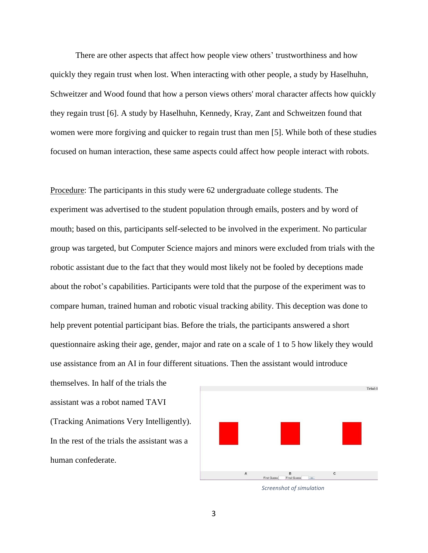There are other aspects that affect how people view others' trustworthiness and how quickly they regain trust when lost. When interacting with other people, a study by Haselhuhn, Schweitzer and Wood found that how a person views others' moral character affects how quickly they regain trust [6]. A study by Haselhuhn, Kennedy, Kray, Zant and Schweitzen found that women were more forgiving and quicker to regain trust than men [5]. While both of these studies focused on human interaction, these same aspects could affect how people interact with robots.

Procedure: The participants in this study were 62 undergraduate college students. The experiment was advertised to the student population through emails, posters and by word of mouth; based on this, participants self-selected to be involved in the experiment. No particular group was targeted, but Computer Science majors and minors were excluded from trials with the robotic assistant due to the fact that they would most likely not be fooled by deceptions made about the robot's capabilities. Participants were told that the purpose of the experiment was to compare human, trained human and robotic visual tracking ability. This deception was done to help prevent potential participant bias. Before the trials, the participants answered a short questionnaire asking their age, gender, major and rate on a scale of 1 to 5 how likely they would use assistance from an AI in four different situations. Then the assistant would introduce

themselves. In half of the trials the assistant was a robot named TAVI (Tracking Animations Very Intelligently). In the rest of the trials the assistant was a human confederate.





3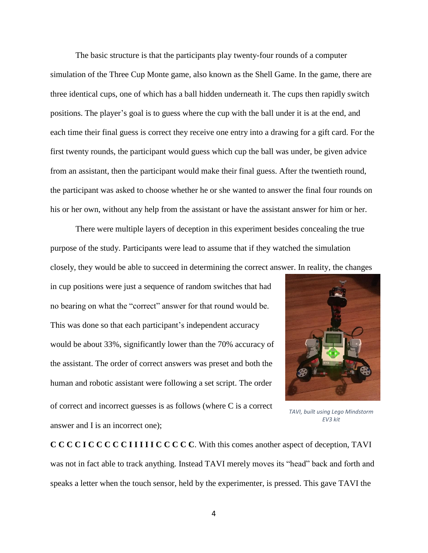The basic structure is that the participants play twenty-four rounds of a computer simulation of the Three Cup Monte game, also known as the Shell Game. In the game, there are three identical cups, one of which has a ball hidden underneath it. The cups then rapidly switch positions. The player's goal is to guess where the cup with the ball under it is at the end, and each time their final guess is correct they receive one entry into a drawing for a gift card. For the first twenty rounds, the participant would guess which cup the ball was under, be given advice from an assistant, then the participant would make their final guess. After the twentieth round, the participant was asked to choose whether he or she wanted to answer the final four rounds on his or her own, without any help from the assistant or have the assistant answer for him or her.

There were multiple layers of deception in this experiment besides concealing the true purpose of the study. Participants were lead to assume that if they watched the simulation closely, they would be able to succeed in determining the correct answer. In reality, the changes

in cup positions were just a sequence of random switches that had no bearing on what the "correct" answer for that round would be. This was done so that each participant's independent accuracy would be about 33%, significantly lower than the 70% accuracy of the assistant. The order of correct answers was preset and both the human and robotic assistant were following a set script. The order of correct and incorrect guesses is as follows (where C is a correct answer and I is an incorrect one);



*TAVI, built using Lego Mindstorm EV3 kit*

**C C C C I C C C C C I I I I I C C C C C**. With this comes another aspect of deception, TAVI was not in fact able to track anything. Instead TAVI merely moves its "head" back and forth and speaks a letter when the touch sensor, held by the experimenter, is pressed. This gave TAVI the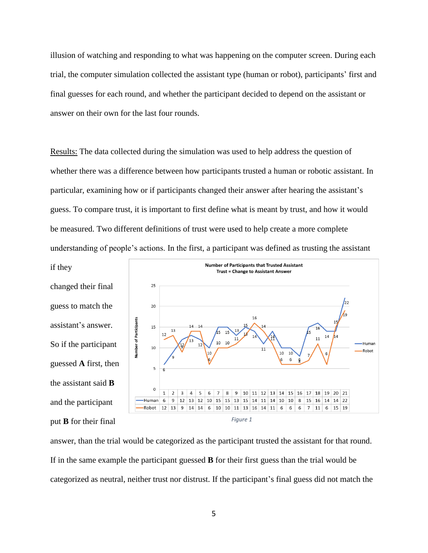illusion of watching and responding to what was happening on the computer screen. During each trial, the computer simulation collected the assistant type (human or robot), participants' first and final guesses for each round, and whether the participant decided to depend on the assistant or answer on their own for the last four rounds.

Results: The data collected during the simulation was used to help address the question of whether there was a difference between how participants trusted a human or robotic assistant. In particular, examining how or if participants changed their answer after hearing the assistant's guess. To compare trust, it is important to first define what is meant by trust, and how it would be measured. Two different definitions of trust were used to help create a more complete understanding of people's actions. In the first, a participant was defined as trusting the assistant

changed their final guess to match the assistant's answer. So if the participant guessed **A** first, then the assistant said **B** and the participant put **B** for their final

if they



answer, than the trial would be categorized as the participant trusted the assistant for that round. If in the same example the participant guessed **B** for their first guess than the trial would be categorized as neutral, neither trust nor distrust. If the participant's final guess did not match the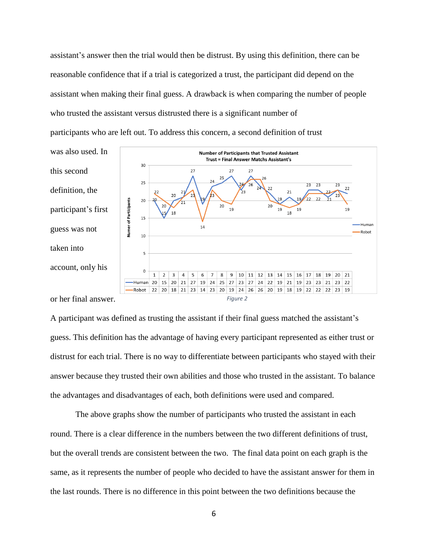assistant's answer then the trial would then be distrust. By using this definition, there can be reasonable confidence that if a trial is categorized a trust, the participant did depend on the assistant when making their final guess. A drawback is when comparing the number of people who trusted the assistant versus distrusted there is a significant number of participants who are left out. To address this concern, a second definition of trust

was also used. In this second definition, the participant's first guess was not taken into account, only his



or her final answer.

*Figure 2*

A participant was defined as trusting the assistant if their final guess matched the assistant's guess. This definition has the advantage of having every participant represented as either trust or distrust for each trial. There is no way to differentiate between participants who stayed with their answer because they trusted their own abilities and those who trusted in the assistant. To balance the advantages and disadvantages of each, both definitions were used and compared.

The above graphs show the number of participants who trusted the assistant in each round. There is a clear difference in the numbers between the two different definitions of trust, but the overall trends are consistent between the two. The final data point on each graph is the same, as it represents the number of people who decided to have the assistant answer for them in the last rounds. There is no difference in this point between the two definitions because the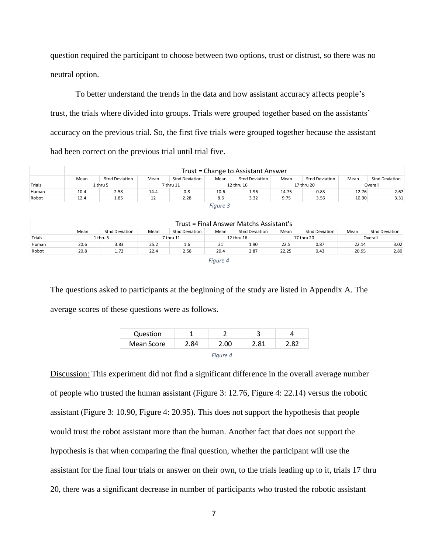question required the participant to choose between two options, trust or distrust, so there was no neutral option.

To better understand the trends in the data and how assistant accuracy affects people's trust, the trials where divided into groups. Trials were grouped together based on the assistants' accuracy on the previous trial. So, the first five trials were grouped together because the assistant had been correct on the previous trial until trial five.

|        |          | Trust = Change to Assistant Answer |           |                |            |                |            |                |         |                |
|--------|----------|------------------------------------|-----------|----------------|------------|----------------|------------|----------------|---------|----------------|
|        | Mean     | Stnd Deviation                     | Mean      | Stnd Deviation | Mean       | Stnd Deviation | Mean       | Stnd Deviation | Mean    | Stnd Deviation |
| Trials | 1 thru 5 |                                    | 7 thru 11 |                | 12 thru 16 |                | 17 thru 20 |                | Overall |                |
| Human  | 10.4     | 2.58                               | 14.4      | 0.8            | 10.6       | 1.96           | 14.75      | 0.83           | 12.76   | 2.67           |
| Robot  | 12.4     | 1.85                               | 12        | 2.28           | 8.6        | 3.32           | 9.75       | 3.56           | 10.90   | 3.31           |
|        |          |                                    |           |                | Fiaure 3   |                |            |                |         |                |

| Trust = Final Answer Matchs Assistant's |                |          |                       |           |                       |            |                       |            |                |
|-----------------------------------------|----------------|----------|-----------------------|-----------|-----------------------|------------|-----------------------|------------|----------------|
| Mean                                    | Stnd Deviation | Mean     | <b>Stnd Deviation</b> | Mean      | <b>Stnd Deviation</b> | Mean       | <b>Stnd Deviation</b> | Mean       | Stnd Deviation |
|                                         |                |          |                       |           |                       |            |                       |            | Overall        |
| 20.6                                    | 3.83           | 25.2     | 1.6                   | 21        | 1.90                  | 22.5       | 0.87                  | 22.14      | 3.02           |
| 20.8                                    | 1.72           | 22.4     | 2.58                  | 20.4      | 2.87                  | 22.25      | 0.43                  | 20.95      | 2.80           |
|                                         |                | 1 thru 5 |                       | 7 thru 11 |                       | 12 thru 16 |                       | 17 thru 20 |                |

*Figure 4*

The questions asked to participants at the beginning of the study are listed in Appendix A. The average scores of these questions were as follows.

| Question   |      |      |      |      |
|------------|------|------|------|------|
| Mean Score | 2.84 | 2.00 | 2.81 | 2.82 |
|            |      |      |      |      |

Discussion: This experiment did not find a significant difference in the overall average number of people who trusted the human assistant (Figure 3: 12.76, Figure 4: 22.14) versus the robotic assistant (Figure 3: 10.90, Figure 4: 20.95). This does not support the hypothesis that people would trust the robot assistant more than the human. Another fact that does not support the hypothesis is that when comparing the final question, whether the participant will use the assistant for the final four trials or answer on their own, to the trials leading up to it, trials 17 thru 20, there was a significant decrease in number of participants who trusted the robotic assistant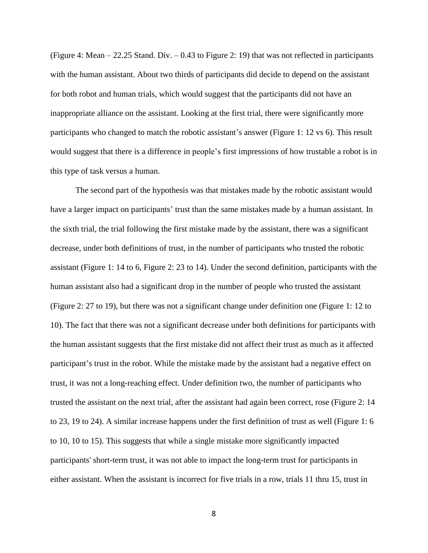(Figure 4: Mean – 22.25 Stand. Div. – 0.43 to Figure 2: 19) that was not reflected in participants with the human assistant. About two thirds of participants did decide to depend on the assistant for both robot and human trials, which would suggest that the participants did not have an inappropriate alliance on the assistant. Looking at the first trial, there were significantly more participants who changed to match the robotic assistant's answer (Figure 1: 12 vs 6). This result would suggest that there is a difference in people's first impressions of how trustable a robot is in this type of task versus a human.

The second part of the hypothesis was that mistakes made by the robotic assistant would have a larger impact on participants' trust than the same mistakes made by a human assistant. In the sixth trial, the trial following the first mistake made by the assistant, there was a significant decrease, under both definitions of trust, in the number of participants who trusted the robotic assistant (Figure 1: 14 to 6, Figure 2: 23 to 14). Under the second definition, participants with the human assistant also had a significant drop in the number of people who trusted the assistant (Figure 2: 27 to 19), but there was not a significant change under definition one (Figure 1: 12 to 10). The fact that there was not a significant decrease under both definitions for participants with the human assistant suggests that the first mistake did not affect their trust as much as it affected participant's trust in the robot. While the mistake made by the assistant had a negative effect on trust, it was not a long-reaching effect. Under definition two, the number of participants who trusted the assistant on the next trial, after the assistant had again been correct, rose (Figure 2: 14 to 23, 19 to 24). A similar increase happens under the first definition of trust as well (Figure 1: 6 to 10, 10 to 15). This suggests that while a single mistake more significantly impacted participants' short-term trust, it was not able to impact the long-term trust for participants in either assistant. When the assistant is incorrect for five trials in a row, trials 11 thru 15, trust in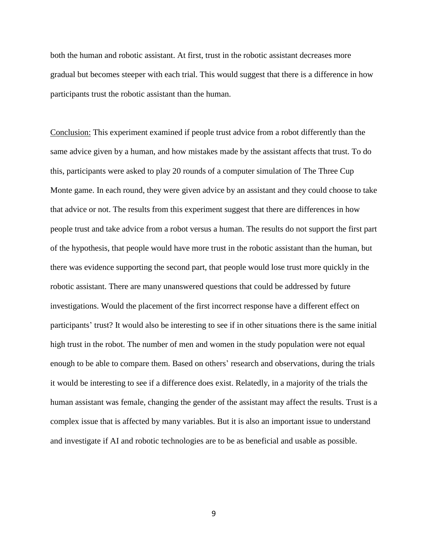both the human and robotic assistant. At first, trust in the robotic assistant decreases more gradual but becomes steeper with each trial. This would suggest that there is a difference in how participants trust the robotic assistant than the human.

Conclusion: This experiment examined if people trust advice from a robot differently than the same advice given by a human, and how mistakes made by the assistant affects that trust. To do this, participants were asked to play 20 rounds of a computer simulation of The Three Cup Monte game. In each round, they were given advice by an assistant and they could choose to take that advice or not. The results from this experiment suggest that there are differences in how people trust and take advice from a robot versus a human. The results do not support the first part of the hypothesis, that people would have more trust in the robotic assistant than the human, but there was evidence supporting the second part, that people would lose trust more quickly in the robotic assistant. There are many unanswered questions that could be addressed by future investigations. Would the placement of the first incorrect response have a different effect on participants' trust? It would also be interesting to see if in other situations there is the same initial high trust in the robot. The number of men and women in the study population were not equal enough to be able to compare them. Based on others' research and observations, during the trials it would be interesting to see if a difference does exist. Relatedly, in a majority of the trials the human assistant was female, changing the gender of the assistant may affect the results. Trust is a complex issue that is affected by many variables. But it is also an important issue to understand and investigate if AI and robotic technologies are to be as beneficial and usable as possible.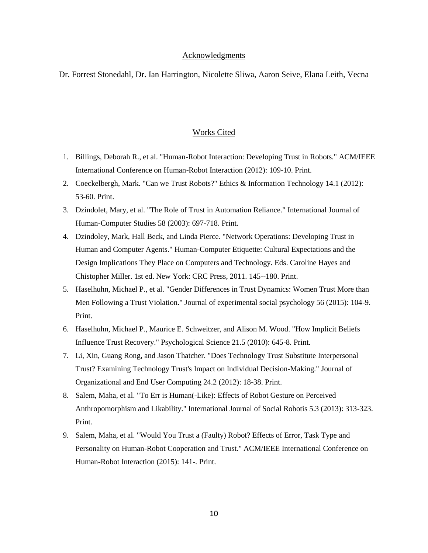#### **Acknowledgments**

Dr. Forrest Stonedahl, Dr. Ian Harrington, Nicolette Sliwa, Aaron Seive, Elana Leith, Vecna

#### Works Cited

- 1. Billings, Deborah R., et al. "Human-Robot Interaction: Developing Trust in Robots." ACM/IEEE International Conference on Human-Robot Interaction (2012): 109-10. Print.
- 2. Coeckelbergh, Mark. "Can we Trust Robots?" Ethics & Information Technology 14.1 (2012): 53-60. Print.
- 3. Dzindolet, Mary, et al. "The Role of Trust in Automation Reliance." International Journal of Human-Computer Studies 58 (2003): 697-718. Print.
- 4. Dzindoley, Mark, Hall Beck, and Linda Pierce. "Network Operations: Developing Trust in Human and Computer Agents." Human-Computer Etiquette: Cultural Expectations and the Design Implications They Place on Computers and Technology. Eds. Caroline Hayes and Chistopher Miller. 1st ed. New York: CRC Press, 2011. 145--180. Print.
- 5. Haselhuhn, Michael P., et al. "Gender Differences in Trust Dynamics: Women Trust More than Men Following a Trust Violation." Journal of experimental social psychology 56 (2015): 104-9. Print.
- 6. Haselhuhn, Michael P., Maurice E. Schweitzer, and Alison M. Wood. "How Implicit Beliefs Influence Trust Recovery." Psychological Science 21.5 (2010): 645-8. Print.
- 7. Li, Xin, Guang Rong, and Jason Thatcher. "Does Technology Trust Substitute Interpersonal Trust? Examining Technology Trust's Impact on Individual Decision-Making." Journal of Organizational and End User Computing 24.2 (2012): 18-38. Print.
- 8. Salem, Maha, et al. "To Err is Human(-Like): Effects of Robot Gesture on Perceived Anthropomorphism and Likability." International Journal of Social Robotis 5.3 (2013): 313-323. Print.
- 9. Salem, Maha, et al. "Would You Trust a (Faulty) Robot? Effects of Error, Task Type and Personality on Human-Robot Cooperation and Trust." ACM/IEEE International Conference on Human-Robot Interaction (2015): 141-. Print.